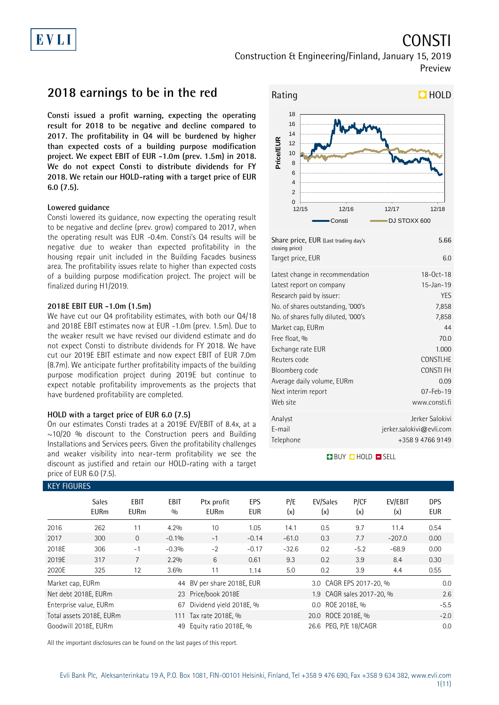# EVLI

# Construction & Engineering/Finland, January 15, 2019 Preview

**2018 earnings to be in the red**

**Consti issued a profit warning, expecting the operating result for 2018 to be negative and decline compared to 2017. The profitability in Q4 will be burdened by higher than expected costs of a building purpose modification project. We expect EBIT of EUR -1.0m (prev. 1.5m) in 2018. We do not expect Consti to distribute dividends for FY 2018. We retain our HOLD-rating with a target price of EUR 6.0 (7.5).**

### **Lowered guidance**

Consti lowered its guidance, now expecting the operating result to be negative and decline (prev. grow) compared to 2017, when the operating result was EUR -0.4m. Consti's Q4 results will be negative due to weaker than expected profitability in the housing repair unit included in the Building Facades business area. The profitability issues relate to higher than expected costs of a building purpose modification project. The project will be finalized during H1/2019.

### **2018E EBIT EUR -1.0m (1.5m)**

We have cut our Q4 profitability estimates, with both our Q4/18 and 2018E EBIT estimates now at EUR -1.0m (prev. 1.5m). Due to the weaker result we have revised our dividend estimate and do not expect Consti to distribute dividends for FY 2018. We have cut our 2019E EBIT estimate and now expect EBIT of EUR 7.0m (8.7m). We anticipate further profitability impacts of the building purpose modification project during 2019E but continue to expect notable profitability improvements as the projects that have burdened profitability are completed.

### **HOLD with a target price of EUR 6.0 (7.5)**

On our estimates Consti trades at a 2019E EV/EBIT of 8.4x, at a  $\sim$ 10/20 % discount to the Construction peers and Building Installations and Services peers. Given the profitability challenges and weaker visibility into near-term profitability we see the discount as justified and retain our HOLD-rating with a target price of EUR 6.0 (7.5).



| Latest report on company            | 15-Jan-19                |
|-------------------------------------|--------------------------|
| Research paid by issuer:            | YES                      |
| No. of shares outstanding, '000's   | 7,858                    |
| No. of shares fully diluted, '000's | 7,858                    |
| Market cap, EURm                    | 44                       |
| Free float, %                       | 70.0                     |
| Exchange rate EUR                   | 1.000                    |
| Reuters code                        | CONSTI.HE                |
| Bloomberg code                      | CONSTI FH                |
| Average daily volume, EURm          | 0.09                     |
| Next interim report                 | $07 - Feb - 19$          |
| Web site                            | www.consti.fi            |
| Analyst                             | Jerker Salokivi          |
| E-mail                              | jerker.salokivi@evli.com |
| Telephone                           | +358 9 4766 9149         |
|                                     |                          |

### **BUY QHOLD SELL**

| <b>KEY FIGURES</b> |                             |                            |                    |                            |                   |            |                           |                              |                |                          |  |
|--------------------|-----------------------------|----------------------------|--------------------|----------------------------|-------------------|------------|---------------------------|------------------------------|----------------|--------------------------|--|
|                    | <b>Sales</b><br><b>EURm</b> | <b>EBIT</b><br><b>EURm</b> | <b>EBIT</b><br>0/0 | Ptx profit<br><b>EURm</b>  | EPS<br><b>EUR</b> | P/E<br>(x) | EV/Sales<br>(x)           | P/CF<br>(x)                  | EV/EBIT<br>(x) | <b>DPS</b><br><b>EUR</b> |  |
| 2016               | 262                         | 11                         | 4.2%               | 10                         | 1.05              | 14.1       | 0.5                       | 9.7                          | 11.4           | 0.54                     |  |
| 2017               | 300                         | $\Omega$                   | $-0.1%$            | $-1$                       | $-0.14$           | $-61.0$    | 0.3                       | 7.7                          | $-207.0$       | 0.00                     |  |
| 2018E              | 306                         | $-1$                       | $-0.3%$            | $-2$                       | $-0.17$           | $-32.6$    | 0.2                       | $-5.2$                       | $-68.9$        | 0.00                     |  |
| 2019E              | 317                         |                            | 2.2%               | 6                          | 0.61              | 9.3        | 0.2                       | 3.9                          | 8.4            | 0.30                     |  |
| 2020E              | 325                         | 12                         | 3.6%               | 11                         | 1.14              | 5.0        | 0.2                       | 3.9                          | 4.4            | 0.55                     |  |
| Market cap, EURm   |                             |                            |                    | 44 BV per share 2018E, EUR |                   |            | 3.0 CAGR EPS 2017-20, %   |                              |                |                          |  |
|                    | Net debt 2018E, EURm        |                            |                    | 23 Price/book 2018E        |                   |            | 1.9 CAGR sales 2017-20, % |                              |                | 2.6                      |  |
|                    | Enterprise value, EURm      |                            | 67                 | Dividend yield 2018E, %    |                   |            | 0.0 ROE 2018E. %          | $-5.5$                       |                |                          |  |
|                    | Total assets 2018E, EURm    |                            |                    | 111 Tax rate 2018E, %      |                   |            |                           | 20.0 ROCE 2018E, %<br>$-2.0$ |                |                          |  |
|                    | Goodwill 2018E. EURm        |                            | 49                 | Equity ratio 2018E, %      |                   |            | 26.6 PEG, P/E 18/CAGR     |                              |                |                          |  |

All the important disclosures can be found on the last pages of this report.

CONSTI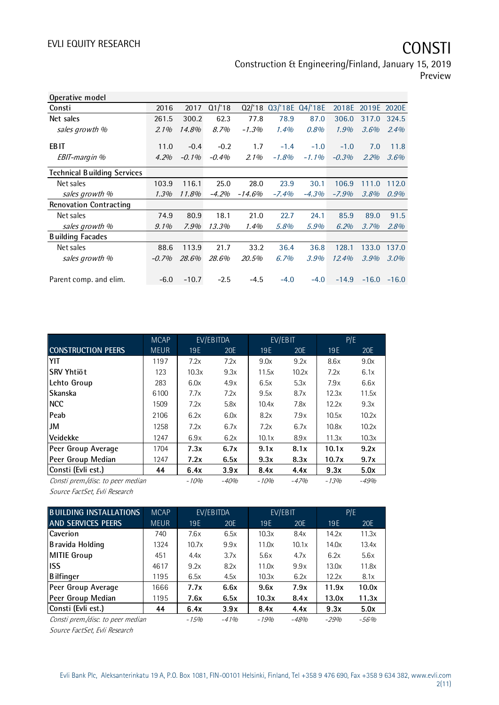Construction & Engineering/Finland, January 15, 2019 Preview

| Operative model                    |         |          |          |           |          |                 |          |         |             |
|------------------------------------|---------|----------|----------|-----------|----------|-----------------|----------|---------|-------------|
| Consti                             | 2016    | 2017     | Q1/18    | Q2/18     |          | 03/'18E 04/'18E | 2018E    |         | 2019E 2020E |
| Net sales                          | 261.5   | 300.2    | 62.3     | 77.8      | 78.9     | 87.0            | 306.0    | 317.0   | 324.5       |
| sales growth %                     | $2.1\%$ | 14.8%    | 8.7%     | $-1.3%$   | 1.4%     | 0.8%            | 1.9%     | 3.6%    | 2.4%        |
| <b>EBIT</b>                        | 11.0    | $-0.4$   | $-0.2$   | 1.7       | $-1.4$   | $-1.0$          | $-1.0$   | 7.0     | 11.8        |
| EBIT-margin %                      | 4.2%    | $-0.1\%$ | $-0.4\%$ | $2.1\%$   | $-1.8\%$ | $-1.1\%$        | $-0.3%$  | 2.2%    | 3.6%        |
| <b>Technical Building Services</b> |         |          |          |           |          |                 |          |         |             |
| Net sales                          | 103.9   | 116.1    | 25.0     | 28.0      | 23.9     | 30.1            | 106.9    | 111.0   | 112.0       |
| sales growth %                     | $1.3\%$ | 11.8%    | $-4.2%$  | $-14.6\%$ | $-7.4%$  | $-4.3%$         | $-7.9\%$ | 3.8%    | $0.9\%$     |
| <b>Renovation Contracting</b>      |         |          |          |           |          |                 |          |         |             |
| Net sales                          | 74.9    | 80.9     | 18.1     | 21.0      | 22.7     | 24.1            | 85.9     | 89.0    | 91.5        |
| sales growth %                     | $9.1\%$ | $7.9\%$  | 13.3%    | 1.4%      | 5.8%     | 5.9%            | 6.2%     | 3.7%    | 2.8%        |
| <b>Building Facades</b>            |         |          |          |           |          |                 |          |         |             |
| Net sales                          | 88.6    | 113.9    | 21.7     | 33.2      | 36.4     | 36.8            | 128.1    | 133.0   | 137.0       |
| sales growth %                     | $-0.7%$ | 28.6%    | 28.6%    | 20.5%     | 6.7%     | 3.9%            | 12.4%    | 3.9%    | $3.0\%$     |
| Parent comp. and elim.             | $-6.0$  | $-10.7$  | $-2.5$   | $-4.5$    | $-4.0$   | $-4.0$          | $-14.9$  | $-16.0$ | $-16.0$     |

|                                   | <b>MCAP</b> |        | EV/EBITDA |        | EV/EBIT |         | P/E     |
|-----------------------------------|-------------|--------|-----------|--------|---------|---------|---------|
| <b>CONSTRUCTION PEERS</b>         | <b>MEUR</b> | 19E    | 20E       | 19E    | 20E     | 19E     | 20E     |
| YIT                               | 1197        | 7.2x   | 7.2x      | 9.0x   | 9.2x    | 8.6x    | 9.0x    |
| ISRV Yhtiöt                       | 123         | 10.3x  | 9.3x      | 11.5x  | 10.2x   | 7.2x    | 6.1x    |
| Lehto Group                       | 283         | 6.0x   | 4.9x      | 6.5x   | 5.3x    | 7.9x    | 6.6x    |
| <b>Skanska</b>                    | 6100        | 7.7x   | 7.2x      | 9.5x   | 8.7x    | 12.3x   | 11.5x   |
| <b>INCC</b>                       | 1509        | 7.2x   | 5.8x      | 10.4x  | 7.8x    | 12.2x   | 9.3x    |
| <b>Peab</b>                       | 2106        | 6.2x   | 6.0x      | 8.2x   | 7.9x    | 10.5x   | 10.2x   |
| IJM                               | 1258        | 7.2x   | 6.7x      | 7.2x   | 6.7x    | 10.8x   | 10.2x   |
| <u>lVeidekke</u>                  | 1247        | 6.9x   | 6.2x      | 10.1x  | 8.9x    | 11.3x   | 10.3x   |
| Peer Group Average                | 1704        | 7.3x   | 6.7x      | 9.1x   | 8.1x    | 10.1x   | 9.2x    |
| Peer Group Median                 | 1247        | 7.2x   | 6.5x      | 9.3x   | 8.3x    | 10.7x   | 9.7x    |
| Consti (Evli est.)                | 44          | 6.4x   | 3.9x      | 8.4x   | 4.4x    | 9.3x    | 5.0x    |
| Consti prem./disc. to peer median |             | $-10%$ | $-40%$    | $-10%$ | $-47%$  | $-1.3%$ | $-4.9%$ |

Source FactSet, Evli Research

| <b>BUILDING INSTALLATIONS</b>     | <b>MCAP</b> | EV/EBITDA |        |         | EV/EBIT |        | P/E    |
|-----------------------------------|-------------|-----------|--------|---------|---------|--------|--------|
| <b>AND SERVICES PEERS</b>         | <b>MEUR</b> | 19E       | 20E    | 19E     | 20E     | 19E    | 20E    |
| <b>Caverion</b>                   | 740         | 7.6x      | 6.5x   | 10.3x   | 8.4x    | 14.2x  | 11.3x  |
| Bravida Holding                   | 1324        | 10.7x     | 9.9x   | 11.0x   | 10.1x   | 14.0x  | 13.4x  |
| MITIE Group                       | 451         | 4.4x      | 3.7x   | 5.6x    | 4.7x    | 6.2x   | 5.6x   |
| <b>IISS</b>                       | 4617        | 9.2x      | 8.2x   | 11.0x   | 9.9x    | 13.0x  | 11.8x  |
| <b>B</b> ilfinger                 | 1195        | 6.5x      | 4.5x   | 10.3x   | 6.2x    | 12.2x  | 8.1x   |
| Peer Group Average                | 1666        | 7.7x      | 6.6x   | 9.6x    | 7.9x    | 11.9x  | 10.0x  |
| Peer Group Median                 | 1195        | 7.6x      | 6.5x   | 10.3x   | 8.4x    | 13.0x  | 11.3x  |
| Consti (Evli est.)                | 44          | 6.4x      | 3.9x   | 8.4x    | 4.4x    | 9.3x   | 5.0x   |
| Consti prem./disc. to peer median |             | $-1.5%$   | $-41%$ | $-1.9%$ | $-48%$  | $-29%$ | $-56%$ |

Source FactSet, Evli Research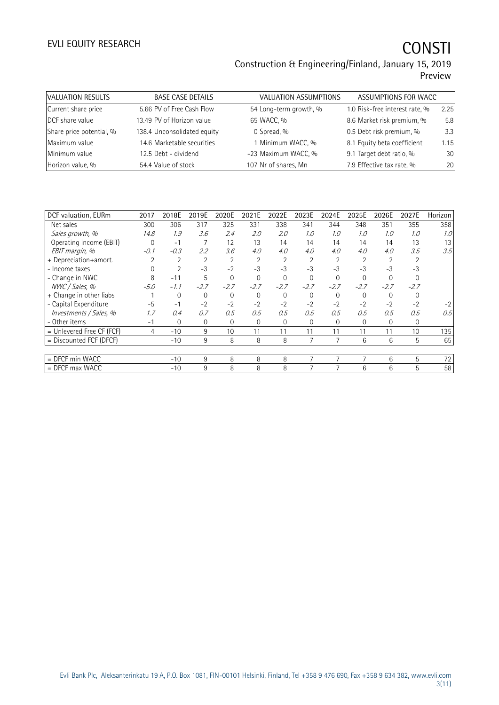## Construction & Engineering/Finland, January 15, 2019 Preview

| <b>BASE CASE DETAILS</b>    | <b>VALUATION ASSUMPTIONS</b> |                                |                      |
|-----------------------------|------------------------------|--------------------------------|----------------------|
| 5.66 PV of Free Cash Flow   | 54 Long-term growth, %       | 1.0 Risk-free interest rate, % | 2.25                 |
| 13.49 PV of Horizon value   | 65 WACC, %                   | 8.6 Market risk premium, %     | 5.8                  |
| 138.4 Unconsolidated equity | 0 Spread, %                  | 0.5 Debt risk premium, %       | 3.3                  |
| 14.6 Marketable securities  | 1 Minimum WACC, %            | 8.1 Equity beta coefficient    | 1.15                 |
| 12.5 Debt - dividend        | -23 Maximum WACC, %          | 9.1 Target debt ratio, %       | 30                   |
| 54.4 Value of stock         | 107 Nr of shares, Mn         | 7.9 Effective tax rate, %      | 20                   |
|                             |                              |                                | ASSUMPTIONS FOR WACC |

| DCF valuation, EURm       | 2017   | 2018E          | 2019E          | 2020E          | 2021E          | 2022E    | 2023E          | 2024E          | 2025E          | 2026E          | 2027E          | Horizon |
|---------------------------|--------|----------------|----------------|----------------|----------------|----------|----------------|----------------|----------------|----------------|----------------|---------|
| Net sales                 | 300    | 306            | 317            | 325            | 331            | 338      | 341            | 344            | 348            | 351            | 355            | 358     |
| Sales growth, %           | 14.8   | 1.9            | 3.6            | 2.4            | 2.0            | 2.0      | 1.0            | 1.0            | 1.0            | 1.0            | 1.0            | 1.0     |
| Operating income (EBIT)   | 0      | $-1$           |                | 12             | 13             | 14       | 14             | 14             | 14             | 14             | 13             | 13      |
| EBIT margin, %            | $-0.1$ | $-0.3$         | 2.2            | 3.6            | 4.0            | 4.0      | 4.0            | 4.0            | 4.0            | 4.0            | 3.5            | 3.5     |
| + Depreciation+amort.     |        | $\overline{2}$ | $\overline{2}$ | $\overline{2}$ | $\overline{2}$ | 2        | $\overline{2}$ | $\overline{2}$ | $\overline{2}$ | $\overline{2}$ | $\overline{2}$ |         |
| - Income taxes            |        | $\overline{2}$ | $-3$           | $-2$           | $-3$           | $-3$     | $-3$           | $-3$           | $-3$           | $-3$           | $-3$           |         |
| - Change in NWC           | 8      | $-11$          | 5              | $\mathbf 0$    | $\Omega$       | $\Omega$ | $\Omega$       | 0              | $\Omega$       | $\Omega$       | $\Omega$       |         |
| NWC / Sales, %            | $-5.0$ | $-1.1$         | $-2.7$         | $-2.7$         | $-2.7$         | $-2.7$   | $-2.7$         | $-2.7$         | $-2.7$         | $-2.7$         | $-2.7$         |         |
| + Change in other liabs   |        | $\mathbf 0$    | $\Omega$       | $\mathbf 0$    | $\Omega$       | $\Omega$ | $\Omega$       | $\Omega$       | $\mathbf 0$    | $\Omega$       | $\Omega$       |         |
| - Capital Expenditure     | $-5$   | $-1$           | $-2$           | $-2$           | $-2$           | $-2$     | $-2$           | $-2$           | $-2$           | $-2$           | $-2$           | $-2$    |
| Investments / Sales, %    | 1.7    | 0.4            | 0.7            | 0.5            | 0.5            | 0.5      | 0.5            | 0.5            | 0.5            | 0.5            | 0.5            | 0.5     |
| - Other items             | $-1$   | 0              | $\mathbf 0$    | $\mathbf{0}$   | $\mathbf{0}$   | 0        | 0              | 0              | $\mathbf 0$    | 0              | $\mathbf 0$    |         |
| = Unlevered Free CF (FCF) | 4      | $-10$          | 9              | 10             | 11             | 11       | 11             | 11             | 11             | 11             | 10             | 135     |
| = Discounted FCF (DFCF)   |        | $-10$          | 9              | 8              | 8              | 8        |                |                | 6              | 6              | 5              | 65      |
|                           |        |                |                |                |                |          |                |                |                |                |                |         |
| $=$ DFCF min WACC         |        | $-10$          | 9              | 8              | 8              | 8        | 7              | 7              |                | 6              | 5              | 72      |
| $=$ DFCF max WACC         |        | $-10$          | 9              | 8              | 8              | 8        | 7              | 7              | 6              | 6              | 5              | 58      |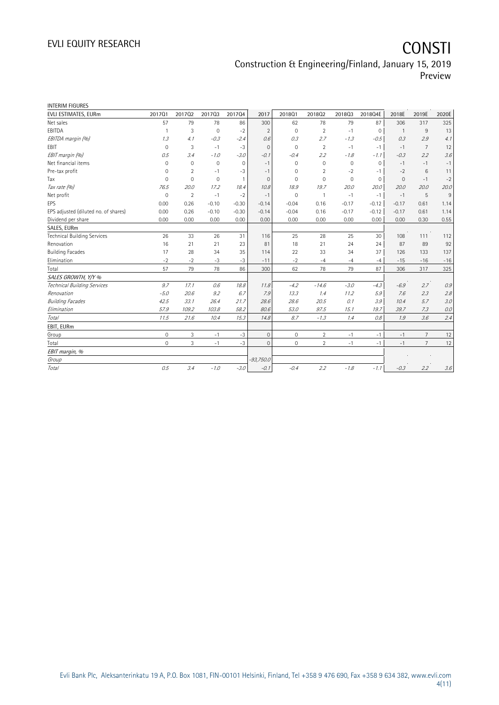Construction & Engineering/Finland, January 15, 2019 Preview

| <b>INTERIM FIGURES</b>               |             |                |              |                |                |              |                |             |              |                |                |       |
|--------------------------------------|-------------|----------------|--------------|----------------|----------------|--------------|----------------|-------------|--------------|----------------|----------------|-------|
| EVLI ESTIMATES, EURm                 | 201701      | 201702         | 201703       | 201704         | 2017           | 2018Q1       | 201802         | 201803      | 2018Q4E      | 2018E          | 2019E          | 2020E |
| Net sales                            | 57          | 79             | 78           | 86             | 300            | 62           | 78             | 79          | 87           | 306            | 317            | 325   |
| EBITDA                               | 1           | 3              | $\mathbf 0$  | $-2$           | $\overline{2}$ | $\mathbf 0$  | $\overline{2}$ | $-1$        | $\mathbf 0$  | $\overline{1}$ | 9              | 13    |
| EBITDA margin (%)                    | 1.3         | 4.1            | $-0.3$       | $-2.4$         | 0.6            | 0.3          | 2.7            | $-1.3$      | $-0.5$       | 0.3            | 2.9            | 4.1   |
| EBIT                                 | $\Omega$    | 3              | $-1$         | $-3$           | $\mathbf{0}$   | $\mathbf{0}$ | $\overline{2}$ | $-1$        | $-1$         | $-1$           | $\overline{7}$ | 12    |
| EBIT margin (%)                      | 0.5         | 3.4            | $-1.0$       | $-3.0$         | $-0.1$         | $-0.4$       | 2.2            | $-1.8$      | $-7.7$       | $-0.3$         | 2.2            | 3.6   |
| Net financial items                  | $\mathbf 0$ | $\mathbf{0}$   | $\mathbf{0}$ | $\mathbf{0}$   | $-1$           | $\mathbf{0}$ | $\mathbf{0}$   | $\mathbf 0$ | $\mathbf 0$  | $-1$           | $-1$           | $-1$  |
| Pre-tax profit                       | 0           | 2              | $-1$         | $-3$           | $-1$           | $\mathbf{0}$ | 2              | $-2$        | $-1$         | $-2$           | 6              | 11    |
| Tax                                  | $\Omega$    | $\mathbf{0}$   | $\mathbf 0$  | $\overline{1}$ | $\Omega$       | $\Omega$     | $\Omega$       | $\mathbf 0$ | $\mathbf{0}$ | $\mathbf{0}$   | $-1$           | $-2$  |
| Tax rate (%)                         | 76.5        | 20.0           | 17.2         | 18.4           | 10.8           | 18.9         | 19.7           | 20.0        | 20.0         | 20.0           | 20.0           | 20.0  |
| Net profit                           | $\mathbf 0$ | $\overline{2}$ | $-1$         | $-2$           | $-1$           | $\mathbf 0$  | $\mathbf{1}$   | $-1$        | $-1$         | $-1$           | 5              | 9     |
| EPS                                  | 0.00        | 0.26           | $-0.10$      | $-0.30$        | $-0.14$        | $-0.04$      | 0.16           | $-0.17$     | $-0.12$      | $-0.17$        | 0.61           | 1.14  |
| EPS adjusted (diluted no. of shares) | 0.00        | 0.26           | $-0.10$      | $-0.30$        | $-0.14$        | $-0.04$      | 0.16           | $-0.17$     | $-0.12$      | $-0.17$        | 0.61           | 1.14  |
| Dividend per share                   | 0.00        | 0.00           | 0.00         | 0.00           | 0.00           | 0.00         | 0.00           | 0.00        | 0.00         | 0.00           | 0.30           | 0.55  |
| SALES, EURm                          |             |                |              |                |                |              |                |             |              |                |                |       |
| <b>Technical Building Services</b>   | 26          | 33             | 26           | 31             | 116            | 25           | 28             | 25          | 30           | 108            | 111            | 112   |
| Renovation                           | 16          | 21             | 21           | 23             | 81             | 18           | 21             | 24          | 24           | 87             | 89             | 92    |
| <b>Building Facades</b>              | 17          | 28             | 34           | 35             | 114            | 22           | 33             | 34          | 37           | 126            | 133            | 137   |
| Elimination                          | $-2$        | $-2$           | $-3$         | $-3$           | $-11$          | $-2$         | $-4$           | $-4$        | $-4$         | $-15$          | $-16$          | $-16$ |
| Total                                | 57          | 79             | 78           | 86             | 300            | 62           | 78             | 79          | 87           | 306            | 317            | 325   |
| SALES GROWTH, Y/Y %                  |             |                |              |                |                |              |                |             |              |                |                |       |
| Technical Building Services          | 9.7         | 17.1           | 0.6          | 18.8           | 11.8           | $-4.2$       | $-14.6$        | $-3.0$      | $-4.3$       | $-6.9$         | 2.7            | 0.9   |
| Renovation                           | $-5.0$      | 20.6           | 9.2          | 6.7            | 7.9            | 13.3         | 1.4            | 11.2        | 5.9          | 7.6            | 2.3            | 2.8   |
| <b>Building Facades</b>              | 42.5        | 33.1           | 26.4         | 21.7           | 28.6           | 28.6         | 20.5           | 0.1         | 3.9          | 10.4           | 5.7            | 3.0   |
| Elimination                          | 57.9        | 109.2          | 103.8        | 58.2           | 80.6           | 53.0         | 97.5           | 15.1        | 19.7         | 39.7           | 7.3            | 0.0   |
| Total                                | 11.5        | 21.6           | 10.4         | 15.3           | 14.8           | 8.7          | $-1.3$         | 1.4         | 0.8          | 1.9            | 3.6            | 2.4   |
| EBIT, EURm                           |             |                |              |                |                |              |                |             |              |                |                |       |
| Group                                | 0           | 3              | $-1$         | $-3$           | $\mathbf{0}$   | $\mathbf 0$  | $\overline{2}$ | $-1$        | $-1$         | $-1$           | $\overline{7}$ | 12    |
| Total                                | $\circ$     | 3              | $-1$         | $-3$           | $\Omega$       | $\mathbf{0}$ | $\overline{2}$ | $-1$        | $-1$         | $-1$           | $\overline{7}$ | 12    |
| EBIT margin, %                       |             |                |              |                |                |              |                |             |              |                |                |       |
| Group                                |             |                |              |                | $-93,750.0$    |              |                |             |              |                |                |       |
| Total                                | 0.5         | 3.4            | $-1.0$       | $-3.0$         | $-0.1$         | $-0.4$       | 2.2            | $-1.8$      | $-7.7$       | $-0.3$         | 2.2            | 3.6   |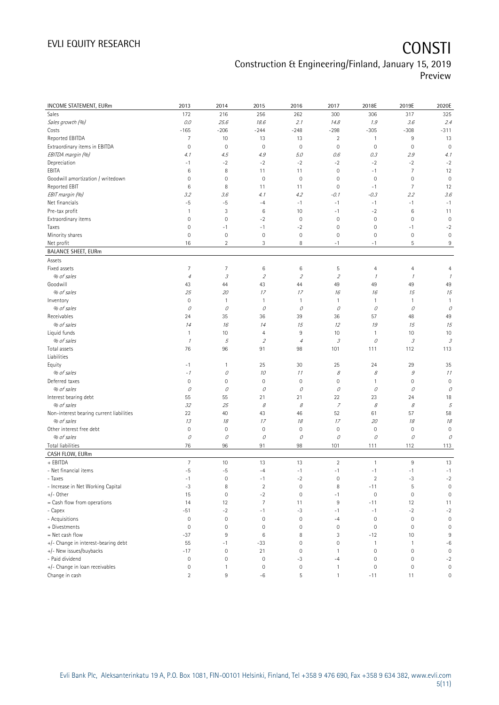## Construction & Engineering/Finland, January 15, 2019 Preview

| INCOME STATEMENT, EURm                   | 2013                | 2014                | 2015                        | 2016                | 2017                        | 2018E               | 2019E          | 2020E          |
|------------------------------------------|---------------------|---------------------|-----------------------------|---------------------|-----------------------------|---------------------|----------------|----------------|
| Sales                                    | 172                 | 216                 | 256                         | 262                 | 300                         | 306                 | 317            | 325            |
| Sales growth (%)                         | 0.0                 | 25.6                | 18.6                        | 2.1                 | 14.8                        | 1.9                 | 3.6            | 2.4            |
| Costs                                    | $-165$              | $-206$              | $-244$                      | $-248$              | $-298$                      | $-305$              | $-308$         | $-311$         |
| Reported EBITDA                          | $\overline{7}$      | 10                  | 13                          | 13                  | $\overline{2}$              | 1                   | 9              | 13             |
| Extraordinary items in EBITDA            | $\mathsf{O}\xspace$ | $\mathbf 0$         | $\mathsf{O}\xspace$         | $\mathsf{O}\xspace$ | $\mathbf 0$                 | $\mathbf 0$         | $\mathbf 0$    | $\mathbf 0$    |
| EBITDA margin (%)                        | 4.1                 | 4.5                 | 4.9                         | 5.0                 | 0.6                         | 0.3                 | 2.9            | 4.1            |
| Depreciation                             | $-1$                | $-2$                | $-2$                        | $-2$                | $-2$                        | $-2$                | $-2$           | $-2$           |
| EBITA                                    | $\,6$               | 8                   | 11                          | 11                  | $\mathbf 0$                 | $-1$                | $\overline{7}$ | 12             |
| Goodwill amortization / writedown        | $\mathsf{O}\xspace$ | $\mathbf 0$         | $\mathbf 0$                 | $\mathbf 0$         | $\mathbf 0$                 | $\mathbf 0$         | $\mathbf 0$    | $\mathbf 0$    |
| Reported EBIT                            | $\,6$               | 8                   | 11                          | 11                  | $\mathbf 0$                 | $-1$                | $\overline{7}$ | 12             |
| EBIT margin (%)                          | 3.2                 | 3.6                 | 4.1                         | 4.2                 | $-0.1$                      | $-0.3$              | 2.2            | 3.6            |
| Net financials                           | $-5$                | $-5$                | $-4$                        | $-1$                | $-1$                        | $-1$                | $-1$           | $-1$           |
| Pre-tax profit                           | $\mathbf{1}$        | $\sqrt{3}$          | 6                           | 10                  | $-1$                        | $-2$                | 6              | 11             |
| Extraordinary items                      | $\mathbf 0$         | $\mathbb O$         | $-2$                        | $\mathsf{O}\xspace$ | $\mathbf 0$                 | $\mathbb O$         | $\mathbf 0$    | $\mathbf 0$    |
| Taxes                                    | $\mathsf{O}\xspace$ | $-1$                | $-1$                        | $-2$                | $\mathbf 0$                 | $\mathbf 0$         | $-1$           | $-2$           |
| Minority shares                          | $\mathbf 0$         | $\mathbf 0$         | $\mathsf{O}\xspace$         | $\mathsf{O}\xspace$ | $\mathbf 0$                 | $\mathbf 0$         | $\mathbf 0$    | $\mathbf 0$    |
| Net profit                               | 16                  | $\overline{c}$      | 3                           | 8                   | $-1$                        | $-1$                | 5              | 9              |
| <b>BALANCE SHEET, EURm</b>               |                     |                     |                             |                     |                             |                     |                |                |
| Assets                                   |                     |                     |                             |                     |                             |                     |                |                |
| Fixed assets                             | $\overline{7}$      | $\overline{7}$      | 6                           | 6                   | 5                           | 4                   | $\overline{4}$ | $\overline{4}$ |
| % of sales                               | $\it 4$             | $\mathcal{I}% _{G}$ | $\mathcal{L}_{\mathcal{L}}$ | $\overline{2}$      | $\mathcal{L}_{\mathcal{L}}$ | $\overline{1}$      | $\mathcal I$   | 1              |
| Goodwill                                 | 43                  | 44                  | 43                          | 44                  | 49                          | 49                  | 49             | 49             |
| % of sales                               | 25                  | 20                  | 17                          | 17                  | 16                          | 16                  | 15             | 15             |
| Inventory                                | $\mathbf 0$         | $\mathbf{1}$        | 1                           | 1                   | $\overline{1}$              | 1                   | 1              | $\mathbf{1}$   |
| % of sales                               | 0                   | 0                   | 0                           | 0                   | 0                           | 0                   | 0              | 0              |
| Receivables                              | 24                  | 35                  | 36                          | 39                  | 36                          | 57                  | 48             | 49             |
| % of sales                               | 14                  | 16                  | 14                          | 15                  | 12                          | 19                  | 15             | 15             |
| Liquid funds                             | $\mathbf{1}$        | 10                  | 4                           | 9                   | 10                          | 1                   | 10             | 10             |
| % of sales                               | $\cal I$            | 5                   | $\mathcal{L}_{\mathcal{L}}$ | $\overline{4}$      | 3                           | 0                   | $\mathcal{I}$  | 3              |
| Total assets                             | 76                  | 96                  | 91                          | 98                  | 101                         | 111                 | 112            | 113            |
| Liabilities                              |                     |                     |                             |                     |                             |                     |                |                |
| Equity                                   | $-1$                | $\mathbf{1}$        | 25                          | 30                  | 25                          | 24                  | 29             | 35             |
| % of sales                               | $-1$                | 0                   | 10                          | 11                  | 8                           | 8                   | $\mathcal G$   | 11             |
| Deferred taxes                           | $\circ$             | $\mathbf 0$         | $\mathsf{O}\xspace$         | $\mathsf{O}\xspace$ | $\mathbf 0$                 | 1                   | $\mathbf 0$    | $\mathbf 0$    |
| % of sales                               | $\mathcal O$        | 0                   | 0                           | $\mathcal O$        | 0                           | 0                   | 0              | 0              |
| Interest bearing debt                    | 55                  | 55                  | 21                          | 21                  | 22                          | 23                  | 24             | 18             |
| % of sales                               | 32                  | 25                  | 8                           | $\mathcal S$        | $\boldsymbol{7}$            | $\mathcal S$        | 8              | 5              |
| Non-interest bearing current liabilities | 22                  | 40                  | 43                          | 46                  | 52                          | 61                  | 57             | 58             |
| % of sales                               | 13                  | 18                  | 17                          | 18                  | 17                          | 20                  | 18             | 18             |
| Other interest free debt                 | $\mathsf{O}\xspace$ | $\mathbf 0$         | $\mathsf{O}\xspace$         | $\mathsf{O}\xspace$ | $\mathbf 0$                 | $\mathsf{O}\xspace$ | $\mathbf 0$    | $\mathbf 0$    |
| % of sales                               | $\mathcal O$        | 0                   | О                           | $\mathcal O$        | 0                           | $\mathcal O$        | $\mathcal O$   | 0              |
| <b>Total liabilities</b>                 | 76                  | 96                  | 91                          | 98                  | 101                         | 111                 | 112            | 113            |
| CASH FLOW, EURm                          |                     |                     |                             |                     |                             |                     |                |                |
| + EBITDA                                 | $\overline{7}$      | 10                  | 13                          | 13                  | $\overline{2}$              | 1                   | $9\,$          | 13             |
| - Net financial items                    | $-5$                | $-5$                | $-4$                        | $-1$                | $-1$                        | $-1$                | $-1$           | $-1$           |
| - Taxes                                  | $-1$                | $\mathbf 0$         | $-1$                        | $-2$                | $\mathbb O$                 | $\sqrt{2}$          | -3             | $-2$           |
| - Increase in Net Working Capital        | $-3$                | 8                   | $\overline{2}$              | $\mathbf 0$         | 8                           | $-11$               | $\mathsf S$    | $\mathbf 0$    |
| $+/-$ Other                              | 15                  | $\mathbb O$         | $-2$                        | $\mathsf{O}\xspace$ | $-1$                        | $\mathbb O$         | $\mathbf 0$    | $\mathbf 0$    |
| = Cash flow from operations              | 14                  | 12                  | $\overline{7}$              | 11                  | $\overline{9}$              | $-11$               | 12             | 11             |
| - Capex                                  | $-51$               | $-2$                | $-1$                        | $-3$                | $-1$                        | $-1$                | $-2$           | $-2$           |
| - Acquisitions                           | $\circ$             | $\mathbf 0$         | $\mathsf{O}\xspace$         | 0                   | $-4$                        | $\mathbf 0$         | $\mathbf 0$    | $\mathbf 0$    |
| + Divestments                            | $\mathbf 0$         | $\mathbf 0$         | 0                           | $\mathbf 0$         | $\mathbf 0$                 | $\mathbf 0$         | $\mathbf 0$    | $\mathbf 0$    |
| = Net cash flow                          | $-37$               | 9                   | 6                           | 8                   | 3                           | $-12$               | 10             | 9              |
| +/- Change in interest-bearing debt      | 55                  | $-1$                | $-33$                       | 0                   | $\mathbf 0$                 | $\mathbf{1}$        | $\mathbf{1}$   | $-6$           |
| +/- New issues/buybacks                  | $-17$               | $\mathbf 0$         | 21                          | $\mathsf{O}\xspace$ | $\mathbf{1}$                | $\mathbf 0$         | $\mathbf 0$    | $\mathbf 0$    |
| - Paid dividend                          | $\mathsf{O}\xspace$ | $\mathbf 0$         | $\mathbb O$                 | $-3$                | $-4$                        | $\mathsf{O}\xspace$ | $\mathbf 0$    | $-2$           |
| +/- Change in loan receivables           | $\mathsf{O}\xspace$ | $\mathbf{1}$        | $\mathsf{O}\xspace$         | 0                   | $\mathbf{1}$                | $\mathbf 0$         | $\mathbf 0$    | $\mathbb O$    |
| Change in cash                           | $\overline{2}$      | 9                   | $-6$                        | 5                   | $\mathbf{1}$                | $-11$               | 11             | $\mathbb O$    |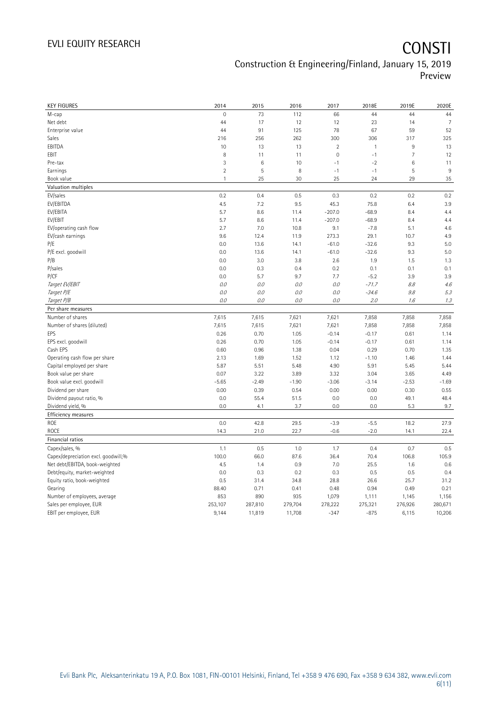## EVLI EQUITY RESEARCH **CONSTI** Construction & Engineering/Finland, January 15, 2019 Preview

| <b>KEY FIGURES</b>                  | 2014           | 2015    | 2016    | 2017                | 2018E        | 2019E          | 2020E          |
|-------------------------------------|----------------|---------|---------|---------------------|--------------|----------------|----------------|
| M-cap                               | 0              | 73      | 112     | 66                  | 44           | 44             | 44             |
| Net debt                            | 44             | 17      | 12      | 12                  | 23           | 14             | $\overline{7}$ |
| Enterprise value                    | 44             | 91      | 125     | 78                  | 67           | 59             | 52             |
| Sales                               | 216            | 256     | 262     | 300                 | 306          | 317            | 325            |
| EBITDA                              | 10             | 13      | 13      | $\overline{2}$      | $\mathbf{1}$ | 9              | 13             |
| EBIT                                | 8              | 11      | 11      | $\mathsf{O}\xspace$ | $-1$         | $\overline{7}$ | 12             |
| Pre-tax                             | 3              | 6       | 10      | $-1$                | $-2$         | 6              | 11             |
| Earnings                            | $\overline{2}$ | 5       | 8       | $-1$                | $-1$         | 5              | 9              |
| Book value                          | $\mathbf{1}$   | 25      | 30      | 25                  | 24           | 29             | 35             |
| Valuation multiples                 |                |         |         |                     |              |                |                |
| EV/sales                            | 0.2            | 0.4     | 0.5     | 0.3                 | 0.2          | 0.2            | 0.2            |
| EV/EBITDA                           | 4.5            | 7.2     | 9.5     | 45.3                | 75.8         | 6.4            | 3.9            |
| EV/EBITA                            | 5.7            | 8.6     | 11.4    | $-207.0$            | $-68.9$      | 8.4            | 4.4            |
| EV/EBIT                             | 5.7            | 8.6     | 11.4    | $-207.0$            | $-68.9$      | 8.4            | 4.4            |
| EV/operating cash flow              | 2.7            | 7.0     | 10.8    | 9.1                 | $-7.8$       | 5.1            | 4.6            |
| EV/cash earnings                    | 9.6            | 12.4    | 11.9    | 273.3               | 29.1         | 10.7           | 4.9            |
| P/E                                 | 0.0            | 13.6    | 14.1    | $-61.0$             | $-32.6$      | 9.3            | 5.0            |
| P/E excl. goodwill                  | 0.0            | 13.6    | 14.1    | $-61.0$             | $-32.6$      | 9.3            | 5.0            |
| P/B                                 | 0.0            | 3.0     | 3.8     | 2.6                 | 1.9          | 1.5            | 1.3            |
| P/sales                             | 0.0            | 0.3     | 0.4     | 0.2                 | 0.1          | 0.1            | 0.1            |
| P/CF                                | 0.0            | 5.7     | 9.7     | 7.7                 | $-5.2$       | 3.9            | 3.9            |
| Target EV/EBIT                      | O.O            | 0.0     | 0.0     | $O.O$               | $-71.7$      | 8.8            | 4.6            |
| Target P/E                          | O.O            | 0.0     | 0.0     | 0.0                 | $-34.6$      | 9.8            | 5.3            |
| Target P/B                          | O.O            | 0.0     | 0.0     | 0.0                 | 2.0          | 1.6            | 1.3            |
| Per share measures                  |                |         |         |                     |              |                |                |
| Number of shares                    | 7,615          | 7,615   | 7,621   | 7,621               | 7,858        | 7,858          | 7,858          |
| Number of shares (diluted)          | 7,615          | 7,615   | 7,621   | 7,621               | 7,858        | 7,858          | 7,858          |
| EPS                                 | 0.26           | 0.70    | 1.05    | $-0.14$             | $-0.17$      | 0.61           | 1.14           |
| EPS excl. goodwill                  | 0.26           | 0.70    | 1.05    | $-0.14$             | $-0.17$      | 0.61           | 1.14           |
| Cash EPS                            | 0.60           | 0.96    | 1.38    | 0.04                | 0.29         | 0.70           | 1.35           |
| Operating cash flow per share       | 2.13           | 1.69    | 1.52    | 1.12                | $-1.10$      | 1.46           | 1.44           |
| Capital employed per share          | 5.87           | 5.51    | 5.48    | 4.90                | 5.91         | 5.45           | 5.44           |
| Book value per share                | 0.07           | 3.22    | 3.89    | 3.32                | 3.04         | 3.65           | 4.49           |
| Book value excl. goodwill           | $-5.65$        | $-2.49$ | $-1.90$ | $-3.06$             | $-3.14$      | $-2.53$        | $-1.69$        |
| Dividend per share                  | 0.00           | 0.39    | 0.54    | 0.00                | 0.00         | 0.30           | 0.55           |
| Dividend payout ratio, %            | 0.0            | 55.4    | 51.5    | 0.0                 | 0.0          | 49.1           | 48.4           |
| Dividend yield, %                   | 0.0            | 4.1     | 3.7     | 0.0                 | 0.0          | 5.3            | 9.7            |
| Efficiency measures                 |                |         |         |                     |              |                |                |
| ROE                                 | 0.0            | 42.8    | 29.5    | $-3.9$              | $-5.5$       | 18.2           | 27.9           |
| ROCE                                | 14.3           | 21.0    | 22.7    | $-0.6$              | $-2.0$       | 14.1           | 22.4           |
| Financial ratios                    |                |         |         |                     |              |                |                |
| Capex/sales, %                      | 1.1            | 0.5     | 1.0     | 1.7                 | 0.4          | 0.7            | 0.5            |
| Capex/depreciation excl. goodwill,% | 100.0          | 66.0    | 87.6    | 36.4                | 70.4         | 106.8          | 105.9          |
| Net debt/EBITDA, book-weighted      | 4.5            | 1.4     | 0.9     | 7.0                 | 25.5         | 1.6            | 0.6            |
| Debt/equity, market-weighted        | 0.0            | 0.3     | 0.2     | 0.3                 | 0.5          | 0.5            | 0.4            |
| Equity ratio, book-weighted         | 0.5            | 31.4    | 34.8    | 28.8                | 26.6         | 25.7           | 31.2           |
| Gearing                             | 88.40          | 0.71    | 0.41    | 0.48                | 0.94         | 0.49           | 0.21           |
| Number of employees, average        | 853            | 890     | 935     | 1,079               | 1,111        | 1,145          | 1,156          |
| Sales per employee, EUR             | 253,107        | 287,810 | 279,704 | 278,222             | 275,321      | 276,926        | 280,671        |
|                                     |                |         |         |                     |              |                |                |
| EBIT per employee, EUR              | 9,144          | 11,819  | 11,708  | $-347$              | $-875$       | 6,115          | 10,206         |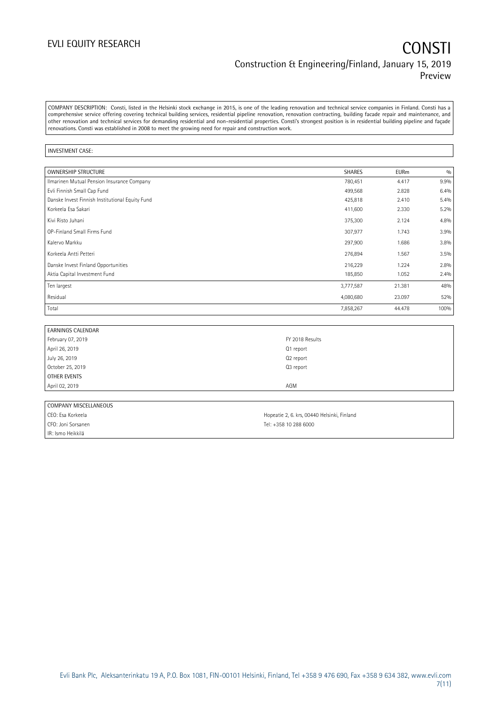## EVLI EQUITY RESEARCH **CONSTI** Construction & Engineering/Finland, January 15, 2019 Preview

COMPANY DESCRIPTION: Consti, listed in the Helsinki stock exchange in 2015, is one of the leading renovation and technical service companies in Finland. Consti has a comprehensive service offering covering technical building services, residential pipeline renovation, renovation contracting, building facade repair and maintenance, and other renovation and technical services for demanding residential and non-residential properties. Consti's strongest position is in residential building pipeline and façade renovations. Consti was established in 2008 to meet the growing need for repair and construction work.

### INVESTMENT CASE:

| <b>OWNERSHIP STRUCTURE</b>                      | <b>SHARES</b> | <b>EURm</b> | 0/0  |
|-------------------------------------------------|---------------|-------------|------|
| Ilmarinen Mutual Pension Insurance Company      | 780,451       | 4.417       | 9.9% |
| Evli Finnish Small Cap Fund                     | 499,568       | 2.828       | 6.4% |
| Danske Invest Finnish Institutional Equity Fund | 425,818       | 2.410       | 5.4% |
| Korkeela Esa Sakari                             | 411,600       | 2.330       | 5.2% |
| Kivi Risto Juhani                               | 375,300       | 2.124       | 4.8% |
| OP-Finland Small Firms Fund                     | 307,977       | 1.743       | 3.9% |
| Kalervo Markku                                  | 297,900       | 1.686       | 3.8% |
| Korkeela Antti Petteri                          | 276,894       | 1.567       | 3.5% |
| Danske Invest Finland Opportunities             | 216,229       | 1.224       | 2.8% |
| Aktia Capital Investment Fund                   | 185,850       | 1.052       | 2.4% |
| Ten largest                                     | 3,777,587     | 21.381      | 48%  |
| Residual                                        | 4,080,680     | 23.097      | 52%  |
| Total                                           | 7,858,267     | 44.478      | 100% |

| <b>EARNINGS CALENDAR</b> |                 |
|--------------------------|-----------------|
| February 07, 2019        | FY 2018 Results |
| April 26, 2019           | Q1 report       |
| July 26, 2019            | Q2 report       |
| October 25, 2019         | Q3 report       |
| OTHER EVENTS             |                 |
| April 02, 2019           | AGM             |
|                          |                 |

| COMPANY MISCELLANEOUS |                                             |
|-----------------------|---------------------------------------------|
| CEO: Esa Korkeela     | Hopeatie 2, 6. krs, 00440 Helsinki, Finland |
| CFO: Joni Sorsanen    | Tel: +358 10 288 6000                       |
| IR: Ismo Heikkilä     |                                             |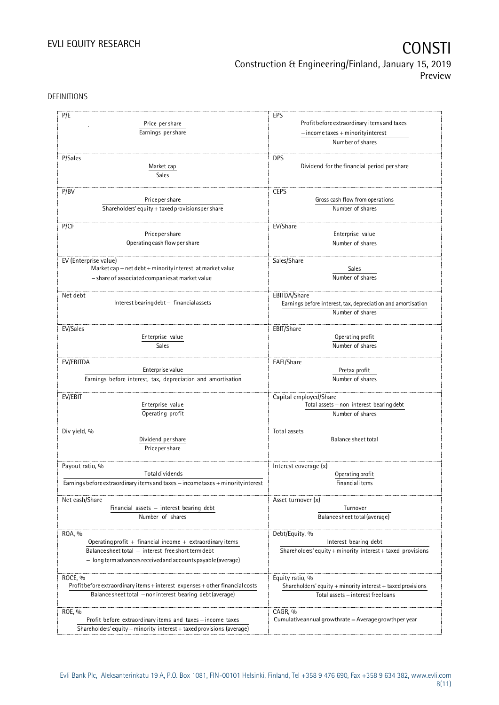## EVLI EQUITY RESEARCH **CONSTI** Construction & Engineering/Finland, January 15, 2019 Preview

DEFINITIONS

| P/E<br>Price per share                                                           | EPS<br>Profit before extraordinary items and taxes<br>$-$ income taxes + minority interest<br>Number of shares |  |  |
|----------------------------------------------------------------------------------|----------------------------------------------------------------------------------------------------------------|--|--|
| Earnings per share                                                               |                                                                                                                |  |  |
|                                                                                  |                                                                                                                |  |  |
| P/Sales                                                                          | <b>DPS</b>                                                                                                     |  |  |
| Market cap                                                                       | Dividend for the financial period per share                                                                    |  |  |
|                                                                                  |                                                                                                                |  |  |
| Sales                                                                            |                                                                                                                |  |  |
| P/BV                                                                             | <b>CEPS</b>                                                                                                    |  |  |
| Price per share                                                                  | Gross cash flow from operations                                                                                |  |  |
| Shareholders' equity + taxed provisionsper share                                 | Number of shares                                                                                               |  |  |
|                                                                                  |                                                                                                                |  |  |
| P/CF<br>Price per share                                                          | EV/Share                                                                                                       |  |  |
|                                                                                  | Enterprise value                                                                                               |  |  |
| Operating cash flow per share                                                    | Number of shares                                                                                               |  |  |
| EV (Enterprise value)                                                            | Sales/Share                                                                                                    |  |  |
| Market cap + net debt + minority interest at market value                        | Sales                                                                                                          |  |  |
| - share of associated companies at market value                                  | Number of shares                                                                                               |  |  |
|                                                                                  |                                                                                                                |  |  |
| Net debt<br>Interest bearing debt - financial assets                             | EBITDA/Share<br>Earnings before interest, tax, depreciation and amortisation                                   |  |  |
|                                                                                  | Number of shares                                                                                               |  |  |
|                                                                                  |                                                                                                                |  |  |
| EV/Sales                                                                         | EBIT/Share                                                                                                     |  |  |
| Enterprise value                                                                 | Operating profit                                                                                               |  |  |
| Sales                                                                            | Number of shares                                                                                               |  |  |
| EV/EBITDA                                                                        | EAFI/Share                                                                                                     |  |  |
| Enterprise value                                                                 | Pretax profit                                                                                                  |  |  |
| Earnings before interest, tax, depreciation and amortisation                     | Number of shares                                                                                               |  |  |
|                                                                                  |                                                                                                                |  |  |
| EV/EBIT<br>Enterprise value                                                      | Capital employed/Share<br>Total assets - non interest bearing debt                                             |  |  |
|                                                                                  |                                                                                                                |  |  |
| Operating profit                                                                 | Number of shares                                                                                               |  |  |
| Div yield, %                                                                     | Total assets                                                                                                   |  |  |
| Dividend per share                                                               | Balance sheet total                                                                                            |  |  |
| Price per share                                                                  |                                                                                                                |  |  |
|                                                                                  |                                                                                                                |  |  |
| Payout ratio, %<br><b>Total dividends</b>                                        | Interest coverage (x)                                                                                          |  |  |
| Earnings before extraordinary items and taxes - income taxes + minority interest | Operating profit<br>Financial items                                                                            |  |  |
|                                                                                  |                                                                                                                |  |  |
| Net cash/Share                                                                   | Asset turnover (x)                                                                                             |  |  |
| Financial assets $-$ interest bearing debt                                       | Turnover                                                                                                       |  |  |
| Number of shares                                                                 | Balance sheet total (average)                                                                                  |  |  |
|                                                                                  | Debt/Equity, %                                                                                                 |  |  |
| ROA, %<br>Operating profit + financial income + extraordinary items              | Interest bearing debt                                                                                          |  |  |
| Balance sheet total - interest free short term debt                              | Shareholders' equity + minority interest + taxed provisions                                                    |  |  |
| - long term advances received and accounts payable (average)                     |                                                                                                                |  |  |
|                                                                                  |                                                                                                                |  |  |
| ROCE, %                                                                          | Equity ratio, %                                                                                                |  |  |
| Profit before extraordinary items + interest expenses + other financial costs    | Shareholders' equity + minority interest + taxed provisions                                                    |  |  |
| Balance sheet total - noninterest bearing debt (average)                         | Total assets - interest free loans                                                                             |  |  |
|                                                                                  |                                                                                                                |  |  |
| ROE, %<br>Profit before extraordinary items and taxes - income taxes             | CAGR, %<br>Cumulative annual growthrate $=$ Average growthper year                                             |  |  |
| Shareholders' equity + minority interest + taxed provisions (average)            |                                                                                                                |  |  |
|                                                                                  |                                                                                                                |  |  |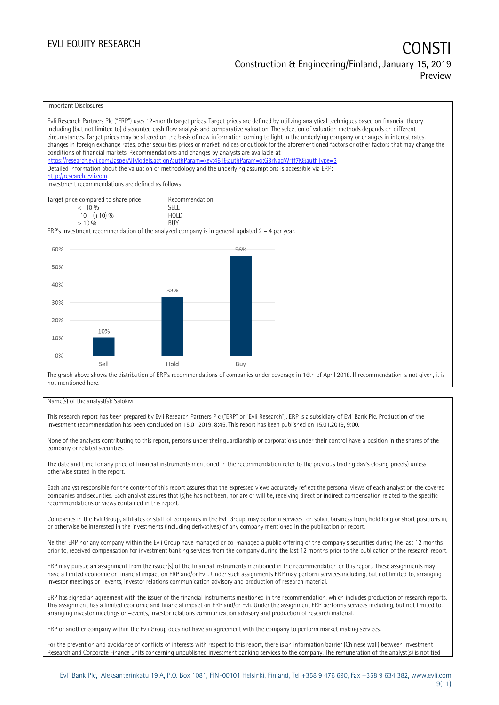## EVLI EQUITY RESEARCH CONSTITUTE OF THE CONSTITUTE OF THE CONSTITUTE OF THE CONSTITUTE OF THE CONSTITUTE OF THE CONSTITUTE OF THE CONSTITUTE OF THE CONSTITUTE OF THE CONSTITUTE OF THE CONSTITUTE OF THE CONSTITUTE OF THE CON Construction & Engineering/Finland, January 15, 2019 Preview

### Important Disclosures

| Evli Research Partners Plc ("ERP") uses 12-month target prices. Target prices are defined by utilizing analytical techniques based on financial theory                                                                                                   |                               |                                                                                                                                                          |  |  |  |  |  |
|----------------------------------------------------------------------------------------------------------------------------------------------------------------------------------------------------------------------------------------------------------|-------------------------------|----------------------------------------------------------------------------------------------------------------------------------------------------------|--|--|--|--|--|
| including (but not limited to) discounted cash flow analysis and comparative valuation. The selection of valuation methods depends on different                                                                                                          |                               |                                                                                                                                                          |  |  |  |  |  |
| circumstances. Target prices may be altered on the basis of new information coming to light in the underlying company or changes in interest rates,                                                                                                      |                               |                                                                                                                                                          |  |  |  |  |  |
| changes in foreign exchange rates, other securities prices or market indices or outlook for the aforementioned factors or other factors that may change the<br>conditions of financial markets. Recommendations and changes by analysts are available at |                               |                                                                                                                                                          |  |  |  |  |  |
| https://research.evli.com/JasperAllModels.action?authParam=key;461&tauthParam=x;G3rNaqWrtf7K&tauthType=3                                                                                                                                                 |                               |                                                                                                                                                          |  |  |  |  |  |
| Detailed information about the valuation or methodology and the underlying assumptions is accessible via ERP:                                                                                                                                            |                               |                                                                                                                                                          |  |  |  |  |  |
| http://research.evli.com                                                                                                                                                                                                                                 |                               |                                                                                                                                                          |  |  |  |  |  |
| Investment recommendations are defined as follows:                                                                                                                                                                                                       |                               |                                                                                                                                                          |  |  |  |  |  |
|                                                                                                                                                                                                                                                          |                               |                                                                                                                                                          |  |  |  |  |  |
| Target price compared to share price                                                                                                                                                                                                                     | Recommendation<br><b>SFII</b> |                                                                                                                                                          |  |  |  |  |  |
| $< -10\%$<br>$-10 - (+10)$ %                                                                                                                                                                                                                             | <b>HOLD</b>                   |                                                                                                                                                          |  |  |  |  |  |
| $> 10\%$                                                                                                                                                                                                                                                 | <b>BUY</b>                    |                                                                                                                                                          |  |  |  |  |  |
| ERP's investment recommendation of the analyzed company is in general updated $2 - 4$ per year.                                                                                                                                                          |                               |                                                                                                                                                          |  |  |  |  |  |
|                                                                                                                                                                                                                                                          |                               |                                                                                                                                                          |  |  |  |  |  |
| 60%                                                                                                                                                                                                                                                      |                               | 56%                                                                                                                                                      |  |  |  |  |  |
|                                                                                                                                                                                                                                                          |                               |                                                                                                                                                          |  |  |  |  |  |
| 50%                                                                                                                                                                                                                                                      |                               |                                                                                                                                                          |  |  |  |  |  |
|                                                                                                                                                                                                                                                          |                               |                                                                                                                                                          |  |  |  |  |  |
| 40%                                                                                                                                                                                                                                                      |                               |                                                                                                                                                          |  |  |  |  |  |
|                                                                                                                                                                                                                                                          | 33%                           |                                                                                                                                                          |  |  |  |  |  |
| 30%                                                                                                                                                                                                                                                      |                               |                                                                                                                                                          |  |  |  |  |  |
|                                                                                                                                                                                                                                                          |                               |                                                                                                                                                          |  |  |  |  |  |
| 20%                                                                                                                                                                                                                                                      |                               |                                                                                                                                                          |  |  |  |  |  |
| 10%                                                                                                                                                                                                                                                      |                               |                                                                                                                                                          |  |  |  |  |  |
| 10%                                                                                                                                                                                                                                                      |                               |                                                                                                                                                          |  |  |  |  |  |
|                                                                                                                                                                                                                                                          |                               |                                                                                                                                                          |  |  |  |  |  |
| 0%                                                                                                                                                                                                                                                       |                               |                                                                                                                                                          |  |  |  |  |  |
| Sell                                                                                                                                                                                                                                                     | Hold                          | Buy                                                                                                                                                      |  |  |  |  |  |
|                                                                                                                                                                                                                                                          |                               | The graph above shows the distribution of ERP's recommendations of companies under coverage in 16th of April 2018. If recommendation is not given, it is |  |  |  |  |  |
| not mentioned here                                                                                                                                                                                                                                       |                               |                                                                                                                                                          |  |  |  |  |  |

### Name(s) of the analyst(s): Salokivi

This research report has been prepared by Evli Research Partners Plc ("ERP" or "Evli Research"). ERP is a subsidiary of Evli Bank Plc. Production of the investment recommendation has been concluded on 15.01.2019, 8:45. This report has been published on 15.01.2019, 9:00.

None of the analysts contributing to this report, persons under their guardianship or corporations under their control have a position in the shares of the company or related securities.

The date and time for any price of financial instruments mentioned in the recommendation refer to the previous trading day's closing price(s) unless otherwise stated in the report.

Each analyst responsible for the content of this report assures that the expressed views accurately reflect the personal views of each analyst on the covered companies and securities. Each analyst assures that (s)he has not been, nor are or will be, receiving direct or indirect compensation related to the specific recommendations or views contained in this report.

Companies in the Evli Group, affiliates or staff of companies in the Evli Group, may perform services for, solicit business from, hold long or short positions in, or otherwise be interested in the investments (including derivatives) of any company mentioned in the publication or report.

Neither ERP nor any company within the Evli Group have managed or co-managed a public offering of the company's securities during the last 12 months prior to, received compensation for investment banking services from the company during the last 12 months prior to the publication of the research report.

ERP may pursue an assignment from the issuer(s) of the financial instruments mentioned in the recommendation or this report. These assignments may have a limited economic or financial impact on ERP and/or Evli. Under such assignments ERP may perform services including, but not limited to, arranging investor meetings or –events, investor relations communication advisory and production of research material.

ERP has signed an agreement with the issuer of the financial instruments mentioned in the recommendation, which includes production of research reports. This assignment has a limited economic and financial impact on ERP and/or Evli. Under the assignment ERP performs services including, but not limited to, arranging investor meetings or –events, investor relations communication advisory and production of research material.

ERP or another company within the Evli Group does not have an agreement with the company to perform market making services.

For the prevention and avoidance of conflicts of interests with respect to this report, there is an information barrier (Chinese wall) between Investment Research and Corporate Finance units concerning unpublished investment banking services to the company. The remuneration of the analyst(s) is not tied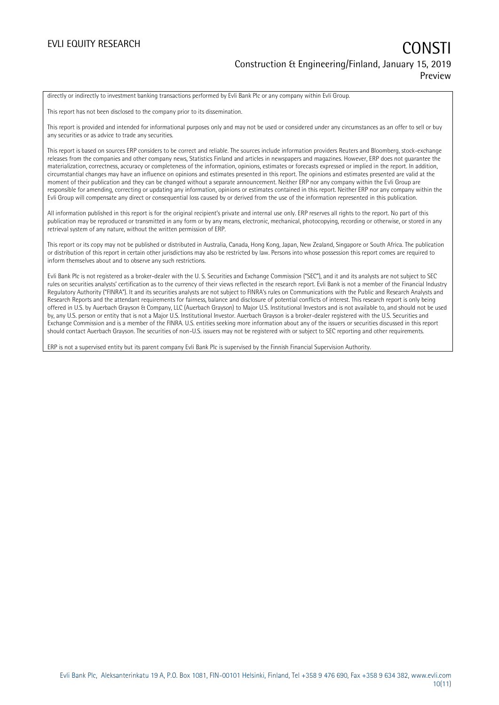directly or indirectly to investment banking transactions performed by Evli Bank Plc or any company within Evli Group.

This report has not been disclosed to the company prior to its dissemination.

This report is provided and intended for informational purposes only and may not be used or considered under any circumstances as an offer to sell or buy any securities or as advice to trade any securities.

This report is based on sources ERP considers to be correct and reliable. The sources include information providers Reuters and Bloomberg, stock-exchange releases from the companies and other company news, Statistics Finland and articles in newspapers and magazines. However, ERP does not guarantee the materialization, correctness, accuracy or completeness of the information, opinions, estimates or forecasts expressed or implied in the report. In addition, circumstantial changes may have an influence on opinions and estimates presented in this report. The opinions and estimates presented are valid at the moment of their publication and they can be changed without a separate announcement. Neither ERP nor any company within the Evli Group are responsible for amending, correcting or updating any information, opinions or estimates contained in this report. Neither ERP nor any company within the Evli Group will compensate any direct or consequential loss caused by or derived from the use of the information represented in this publication.

All information published in this report is for the original recipient's private and internal use only. ERP reserves all rights to the report. No part of this publication may be reproduced or transmitted in any form or by any means, electronic, mechanical, photocopying, recording or otherwise, or stored in any retrieval system of any nature, without the written permission of ERP.

This report or its copy may not be published or distributed in Australia, Canada, Hong Kong, Japan, New Zealand, Singapore or South Africa. The publication or distribution of this report in certain other jurisdictions may also be restricted by law. Persons into whose possession this report comes are required to inform themselves about and to observe any such restrictions.

Evli Bank Plc is not registered as a broker-dealer with the U. S. Securities and Exchange Commission ("SEC"), and it and its analysts are not subject to SEC rules on securities analysts' certification as to the currency of their views reflected in the research report. Evli Bank is not a member of the Financial Industry Regulatory Authority ("FINRA"). It and its securities analysts are not subject to FINRA's rules on Communications with the Public and Research Analysts and Research Reports and the attendant requirements for fairness, balance and disclosure of potential conflicts of interest. This research report is only being offered in U.S. by Auerbach Grayson & Company, LLC (Auerbach Grayson) to Major U.S. Institutional Investors and is not available to, and should not be used by, any U.S. person or entity that is not a Major U.S. Institutional Investor. Auerbach Grayson is a broker-dealer registered with the U.S. Securities and Exchange Commission and is a member of the FINRA. U.S. entities seeking more information about any of the issuers or securities discussed in this report should contact Auerbach Grayson. The securities of non-U.S. issuers may not be registered with or subject to SEC reporting and other requirements.

ERP is not a supervised entity but its parent company Evli Bank Plc is supervised by the Finnish Financial Supervision Authority.